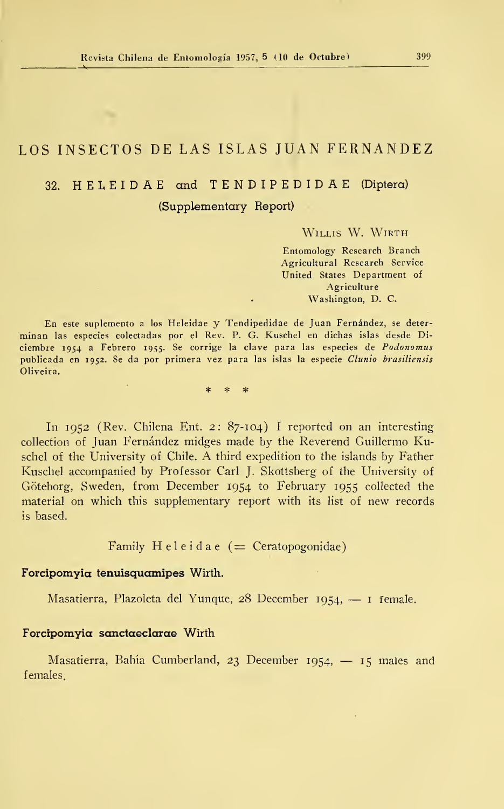# LOS INSECTOS DE LAS ISLAS JUAN FERNANDEZ

# 32. HELEIDAE and TENDIPEDIDAE (Díptera) (Supplementary Report)

WILLIS W. WIRTH

Entomology Research Branch Agricultural Research Service United States Department of Agriculture Washington, D. C.

En este suplemento <sup>a</sup> los Heleidae y Tendipedidae de Juan Fernández, se deter minan las especies colectadas por el Rev. P. G. Kuschel en dichas islas desde Di ciembre 1954 <sup>a</sup> Febrero 1955. Se corrige la clave para las especies de Podonomus publicada en 1952. Se da por primera vez para las islas la especie Clunio brasiliensis Oliveira.

> $\ast$  $\ast$

In 1952 (Rev. Chilena Ent. 2: 87-104) <sup>I</sup> reported on an interesting collection of Juan Fernández midges made by the Reverend Guillermo Kuschel of the University of Chile. A third expedition to the islands by Father Kuschel accompanied by Professor Cari J. Skottsberg of the University of Góteborg, Sweden, from December 1954 to February 1955 collected the material on which this supplementary report with its list of new records is based.

Family Heleidae  $($  = Ceratopogonidae)

#### Forcipomyia tenuisquamipes Wirth.

Masatierra, Plazoleta del Yunque, <sup>28</sup> December 1954, — <sup>1</sup> female.

# ForcipomYia sanctaeclarae Wirth

Masatierra, Bahía Cumberland, <sup>23</sup> December 1954, — <sup>15</sup> males and females.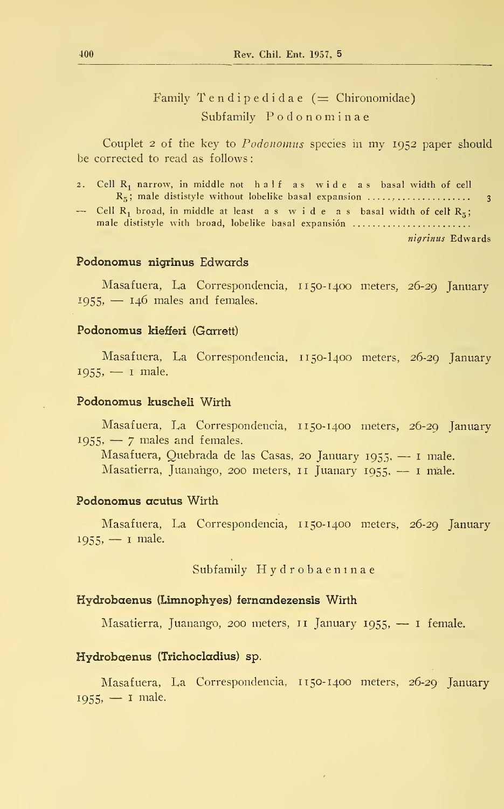Family Tendipedidae  $($  = Chironomidae) Subfamily Podonominae

Couplet <sup>2</sup> of the key to Podonomus species in my 1952 paper should be corrected to read as follows:

- 2. Cell <sup>R</sup><sup>1</sup> narrow, in middle not half as wide as basal width of cell <sup>R</sup><sup>5</sup>
- ; male dististyle without lobelike basal expansión , <sup>3</sup> Cell <sup>R</sup><sup>l</sup> broad, in middle at least as wide as basal width of celt <sup>R</sup><sup>5</sup> ; male dististyle with broad, lobelike basal expansión

nigrinus Edwards

## Podonomus nigrinus Edwards

Masafuera, La Correspondencia, 1150-1400 meters, 26-29 January  $1955, -146$  males and females.

## Podonomus kiefferi (Garrett)

Masafuera, La Correspondencia, 1150-I400 meters, 26-29 January  $1955, -1$  male.

## Podonomus kuscheli Wirth

Masafuera, La Correspondencia, 1150-1400 meters, 26-29 January  $1955, -7$  males and females.

Masafuera, Quebrada de las Casas, <sup>20</sup> January 1955, — <sup>1</sup> male. Masatierra, Juanahgo, <sup>200</sup> meters, <sup>11</sup> Juanary 1955, — <sup>1</sup> male.

## Podonomus acutus Wirth

Masafuera, La Correspondencia, <sup>1</sup> 150-1400 meters, 26-29 January 1955, — <sup>1</sup> male.

Subfamily Hydrobaeninae

#### Hydrobaenus (Limnophyes) íernandezensis Wirth

Masatierra, Juanango, 200 meters, 11 January 1955,  $-$  1 female.

## Hydrobaenus (Trichocladius) sp.

Masafuera, La Correspondencia, <sup>1</sup> 150-1400 meters, 26-29 January  $1955, -1$  male.